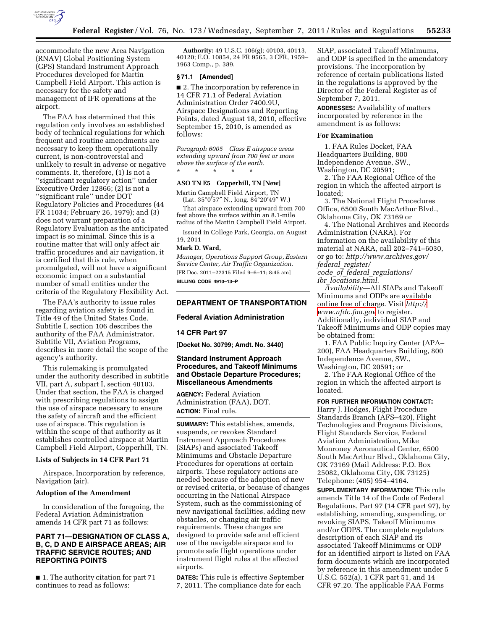

accommodate the new Area Navigation (RNAV) Global Positioning System (GPS) Standard Instrument Approach Procedures developed for Martin Campbell Field Airport. This action is necessary for the safety and management of IFR operations at the airport.

The FAA has determined that this regulation only involves an established body of technical regulations for which frequent and routine amendments are necessary to keep them operationally current, is non-controversial and unlikely to result in adverse or negative comments. It, therefore, (1) Is not a ''significant regulatory action'' under Executive Order 12866; (2) is not a ''significant rule'' under DOT Regulatory Policies and Procedures (44 FR 11034; February 26, 1979); and (3) does not warrant preparation of a Regulatory Evaluation as the anticipated impact is so minimal. Since this is a routine matter that will only affect air traffic procedures and air navigation, it is certified that this rule, when promulgated, will not have a significant economic impact on a substantial number of small entities under the criteria of the Regulatory Flexibility Act.

The FAA's authority to issue rules regarding aviation safety is found in Title 49 of the United States Code. Subtitle I, section 106 describes the authority of the FAA Administrator. Subtitle VII, Aviation Programs, describes in more detail the scope of the agency's authority.

This rulemaking is promulgated under the authority described in subtitle VII, part A, subpart I, section 40103. Under that section, the FAA is charged with prescribing regulations to assign the use of airspace necessary to ensure the safety of aircraft and the efficient use of airspace. This regulation is within the scope of that authority as it establishes controlled airspace at Martin Campbell Field Airport, Copperhill, TN.

#### **Lists of Subjects in 14 CFR Part 71**

Airspace, Incorporation by reference, Navigation (air).

#### **Adoption of the Amendment**

In consideration of the foregoing, the Federal Aviation Administration amends 14 CFR part 71 as follows:

### **PART 71—DESIGNATION OF CLASS A, B, C, D AND E AIRSPACE AREAS; AIR TRAFFIC SERVICE ROUTES; AND REPORTING POINTS**

■ 1. The authority citation for part 71 continues to read as follows:

**Authority:** 49 U.S.C. 106(g); 40103, 40113, 40120; E.O. 10854, 24 FR 9565, 3 CFR, 1959– 1963 Comp., p. 389.

#### **§ 71.1 [Amended]**

■ 2. The incorporation by reference in 14 CFR 71.1 of Federal Aviation Administration Order 7400.9U, Airspace Designations and Reporting Points, dated August 18, 2010, effective September 15, 2010, is amended as follows:

*Paragraph 6005 Class E airspace areas extending upward from 700 feet or more above the surface of the earth.*  \* \* \* \* \*

# **ASO TN E5 Copperhill, TN [New]**

Martin Campbell Field Airport, TN (Lat. 35°0′57″ N., long. 84°20′49″ W.)

That airspace extending upward from 700 feet above the surface within an 8.1-mile radius of the Martin Campbell Field Airport.

Issued in College Park, Georgia, on August 19, 2011

#### **Mark D. Ward,**

*Manager, Operations Support Group, Eastern Service Center, Air Traffic Organization.*  [FR Doc. 2011–22315 Filed 9–6–11; 8:45 am] **BILLING CODE 4910–13–P** 

### **DEPARTMENT OF TRANSPORTATION**

#### **Federal Aviation Administration**

#### **14 CFR Part 97**

**[Docket No. 30799; Amdt. No. 3440]** 

### **Standard Instrument Approach Procedures, and Takeoff Minimums and Obstacle Departure Procedures; Miscellaneous Amendments**

**AGENCY:** Federal Aviation Administration (FAA), DOT. **ACTION:** Final rule.

**SUMMARY:** This establishes, amends, suspends, or revokes Standard Instrument Approach Procedures (SIAPs) and associated Takeoff Minimums and Obstacle Departure Procedures for operations at certain airports. These regulatory actions are needed because of the adoption of new or revised criteria, or because of changes occurring in the National Airspace System, such as the commissioning of new navigational facilities, adding new obstacles, or changing air traffic requirements. These changes are designed to provide safe and efficient use of the navigable airspace and to promote safe flight operations under instrument flight rules at the affected airports.

**DATES:** This rule is effective September 7, 2011. The compliance date for each

SIAP, associated Takeoff Minimums, and ODP is specified in the amendatory provisions. The incorporation by reference of certain publications listed in the regulations is approved by the Director of the Federal Register as of September 7, 2011.

**ADDRESSES:** Availability of matters incorporated by reference in the amendment is as follows:

#### **For Examination**

1. FAA Rules Docket, FAA Headquarters Building, 800 Independence Avenue, SW., Washington, DC 20591;

2. The FAA Regional Office of the region in which the affected airport is located;

3. The National Flight Procedures Office, 6500 South MacArthur Blvd., Oklahoma City, OK 73169 or

4. The National Archives and Records Administration (NARA). For information on the availability of this material at NARA, call 202–741–6030, or go to: *http://www.archives.gov/ federal*\_*register/ code*\_*of*\_*federal*\_*regulations/* 

*ibr*\_*locations.html.* 

*Availability*—All SIAPs and Takeoff Minimums and ODPs are available online free of charge. Visit *[http://](http://www.nfdc.faa.gov)  [www.nfdc.faa.gov](http://www.nfdc.faa.gov)* to register. Additionally, individual SIAP and Takeoff Minimums and ODP copies may be obtained from:

1. FAA Public Inquiry Center (APA– 200), FAA Headquarters Building, 800 Independence Avenue, SW., Washington, DC 20591; or

2. The FAA Regional Office of the region in which the affected airport is located.

**FOR FURTHER INFORMATION CONTACT:**  Harry J. Hodges, Flight Procedure Standards Branch (AFS–420), Flight Technologies and Programs Divisions, Flight Standards Service, Federal Aviation Administration, Mike Monroney Aeronautical Center, 6500 South MacArthur Blvd., Oklahoma City, OK 73169 (Mail Address: P.O. Box 25082, Oklahoma City, OK 73125) Telephone: (405) 954–4164.

**SUPPLEMENTARY INFORMATION:** This rule amends Title 14 of the Code of Federal Regulations, Part 97 (14 CFR part 97), by establishing, amending, suspending, or revoking SIAPS, Takeoff Minimums and/or ODPS. The complete regulators description of each SIAP and its associated Takeoff Minimums or ODP for an identified airport is listed on FAA form documents which are incorporated by reference in this amendment under 5 U.S.C. 552(a), 1 CFR part 51, and 14 CFR 97.20. The applicable FAA Forms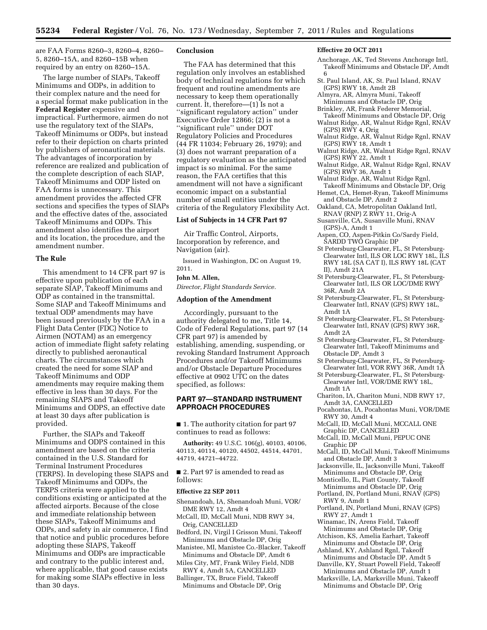are FAA Forms 8260–3, 8260–4, 8260– 5, 8260–15A, and 8260–15B when required by an entry on 8260–15A.

The large number of SIAPs, Takeoff Minimums and ODPs, in addition to their complex nature and the need for a special format make publication in the **Federal Register** expensive and impractical. Furthermore, airmen do not use the regulatory text of the SIAPs, Takeoff Minimums or ODPs, but instead refer to their depiction on charts printed by publishers of aeronautical materials. The advantages of incorporation by reference are realized and publication of the complete description of each SIAP, Takeoff Minimums and ODP listed on FAA forms is unnecessary. This amendment provides the affected CFR sections and specifies the types of SIAPs and the effective dates of the, associated Takeoff Minimums and ODPs. This amendment also identifies the airport and its location, the procedure, and the amendment number.

### **The Rule**

This amendment to 14 CFR part 97 is effective upon publication of each separate SIAP, Takeoff Minimums and ODP as contained in the transmittal. Some SIAP and Takeoff Minimums and textual ODP amendments may have been issued previously by the FAA in a Flight Data Center (FDC) Notice to Airmen (NOTAM) as an emergency action of immediate flight safety relating directly to published aeronautical charts. The circumstances which created the need for some SIAP and Takeoff Minimums and ODP amendments may require making them effective in less than 30 days. For the remaining SIAPS and Takeoff Minimums and ODPS, an effective date at least 30 days after publication is provided.

Further, the SIAPs and Takeoff Minimums and ODPS contained in this amendment are based on the criteria contained in the U.S. Standard for Terminal Instrument Procedures (TERPS). In developing these SIAPS and Takeoff Minimums and ODPs, the TERPS criteria were applied to the conditions existing or anticipated at the affected airports. Because of the close and immediate relationship between these SIAPs, Takeoff Minimums and ODPs, and safety in air commerce, I find that notice and public procedures before adopting these SIAPS, Takeoff Minimums and ODPs are impracticable and contrary to the public interest and, where applicable, that good cause exists for making some SIAPs effective in less than 30 days.

### **Conclusion**

The FAA has determined that this regulation only involves an established body of technical regulations for which frequent and routine amendments are necessary to keep them operationally current. It, therefore—(1) Is not a ''significant regulatory action'' under Executive Order 12866; (2) is not a ''significant rule'' under DOT Regulatory Policies and Procedures (44 FR 11034; February 26, 1979); and (3) does not warrant preparation of a regulatory evaluation as the anticipated impact is so minimal. For the same reason, the FAA certifies that this amendment will not have a significant economic impact on a substantial number of small entities under the criteria of the Regulatory Flexibility Act.

### **List of Subjects in 14 CFR Part 97**

Air Traffic Control, Airports, Incorporation by reference, and Navigation (air).

Issued in Washington, DC on August 19, 2011.

#### **John M. Allen,**

*Director, Flight Standards Service.* 

#### **Adoption of the Amendment**

Accordingly, pursuant to the authority delegated to me, Title 14, Code of Federal Regulations, part 97 (14 CFR part 97) is amended by establishing, amending, suspending, or revoking Standard Instrument Approach Procedures and/or Takeoff Minimums and/or Obstacle Departure Procedures effective at 0902 UTC on the dates specified, as follows:

### **PART 97—STANDARD INSTRUMENT APPROACH PROCEDURES**

■ 1. The authority citation for part 97 continues to read as follows:

**Authority:** 49 U.S.C. 106(g), 40103, 40106, 40113, 40114, 40120, 44502, 44514, 44701, 44719, 44721–44722.

■ 2. Part 97 is amended to read as follows:

#### **Effective 22 SEP 2011**

- Shenandoah, IA, Shenandoah Muni, VOR/ DME RWY 12, Amdt 4
- McCall, ID, McCall Muni, NDB RWY 34, Orig, CANCELLED
- Bedford, IN, Virgil I Grisson Muni, Takeoff Minimums and Obstacle DP, Orig
- Manistee, MI, Manistee Co.-Blacker, Takeoff Minimums and Obstacle DP, Amdt 6
- Miles City, MT, Frank Wiley Field, NDB RWY 4, Amdt 5A, CANCELLED
- Ballinger, TX, Bruce Field, Takeoff Minimums and Obstacle DP, Orig

#### **Effective 20 OCT 2011**

- Anchorage, AK, Ted Stevens Anchorage Intl, Takeoff Minimums and Obstacle DP, Amdt 6
- St. Paul Island, AK, St. Paul Island, RNAV (GPS) RWY 18, Amdt 2B
- Almyra, AR, Almyra Muni, Takeoff
- Minimums and Obstacle DP, Orig Brinkley, AR, Frank Federer Memorial,
- Takeoff Minimums and Obstacle DP, Orig Walnut Ridge, AR, Walnut Ridge Rgnl, RNAV
- (GPS) RWY 4, Orig
- Walnut Ridge, AR, Walnut Ridge Rgnl, RNAV (GPS) RWY 18, Amdt 1
- Walnut Ridge, AR, Walnut Ridge Rgnl, RNAV (GPS) RWY 22, Amdt 1
- Walnut Ridge, AR, Walnut Ridge Rgnl, RNAV (GPS) RWY 36, Amdt 1
- Walnut Ridge, AR, Walnut Ridge Rgnl,
- Takeoff Minimums and Obstacle DP, Orig Hemet, CA, Hemet-Ryan, Takeoff Minimums and Obstacle DP, Amdt 2
- Oakland, CA, Metropolitan Oakland Intl, RNAV (RNP) Z RWY 11, Orig-A
- Susanville, CA, Susanville Muni, RNAV (GPS)-A, Amdt 1
- Aspen, CO, Aspen-Pitkin Co/Sardy Field, SARDD TWO Graphic DP
- St Petersburg-Clearwater, FL, St Petersburg-Clearwater Intl, ILS OR LOC RWY 18L, ILS RWY 18L (SA CAT I), ILS RWY 18L (CAT II), Amdt 21A
- St Petersburg-Clearwater, FL, St Petersburg-Clearwater Intl, ILS OR LOC/DME RWY 36R, Amdt 2A
- St Petersburg-Clearwater, FL, St Petersburg-Clearwater Intl, RNAV (GPS) RWY 18L, Amdt 1A
- St Petersburg-Clearwater, FL, St Petersburg-Clearwater Intl, RNAV (GPS) RWY 36R, Amdt 2A
- St Petersburg-Clearwater, FL, St Petersburg-Clearwater Intl, Takeoff Minimums and Obstacle DP, Amdt 3
- St Petersburg-Clearwater, FL, St Petersburg-Clearwater Intl, VOR RWY 36R, Amdt 1A
- St Petersburg-Clearwater, FL, St Petersburg-Clearwater Intl, VOR/DME RWY 18L, Amdt 1A
- Chariton, IA, Chariton Muni, NDB RWY 17, Amdt 3A, CANCELLED
- Pocahontas, IA, Pocahontas Muni, VOR/DME RWY 30, Amdt 4
- McCall, ID, McCall Muni, MCCALL ONE Graphic DP, CANCELLED
- McCall, ID, McCall Muni, PEPUC ONE Graphic DP
- McCall, ID, McCall Muni, Takeoff Minimums and Obstacle DP, Amdt 3
- Jacksonville, IL, Jacksonville Muni, Takeoff Minimums and Obstacle DP, Orig
- Monticello, IL, Piatt County, Takeoff Minimums and Obstacle DP, Orig
- Portland, IN, Portland Muni, RNAV (GPS) RWY 9, Amdt 1
- Portland, IN, Portland Muni, RNAV (GPS) RWY 27, Amdt 1
- Winamac, IN, Arens Field, Takeoff Minimums and Obstacle DP, Orig
- Atchison, KS, Amelia Earhart, Takeoff Minimums and Obstacle DP, Orig
- Ashland, KY, Ashland Rgnl, Takeoff Minimums and Obstacle DP, Amdt 5
- Danville, KY, Stuart Powell Field, Takeoff Minimums and Obstacle DP, Amdt 1
- Marksville, LA, Marksville Muni, Takeoff Minimums and Obstacle DP, Orig